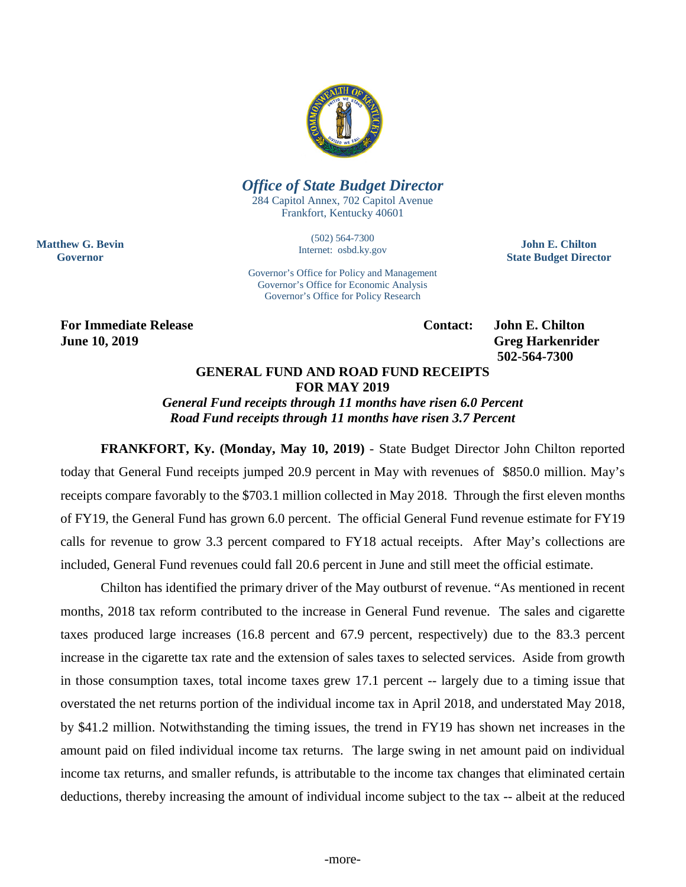

## *Office of State Budget Director*

284 Capitol Annex, 702 Capitol Avenue Frankfort, Kentucky 40601

> (502) 564-7300 Internet: osbd.ky.gov

**John E. Chilton State Budget Director**

Governor's Office for Policy and Management Governor's Office for Economic Analysis Governor's Office for Policy Research

**For Immediate Release Contact: John E. Chilton June 10, 2019 Greg Harkenrider Greg Harkenrider** 

**Matthew G. Bevin Governor**

**502-564-7300** 

## **GENERAL FUND AND ROAD FUND RECEIPTS FOR MAY 2019**

*General Fund receipts through 11 months have risen 6.0 Percent Road Fund receipts through 11 months have risen 3.7 Percent*

**FRANKFORT, Ky. (Monday, May 10, 2019)** - State Budget Director John Chilton reported today that General Fund receipts jumped 20.9 percent in May with revenues of \$850.0 million. May's receipts compare favorably to the \$703.1 million collected in May 2018. Through the first eleven months of FY19, the General Fund has grown 6.0 percent. The official General Fund revenue estimate for FY19 calls for revenue to grow 3.3 percent compared to FY18 actual receipts. After May's collections are included, General Fund revenues could fall 20.6 percent in June and still meet the official estimate.

Chilton has identified the primary driver of the May outburst of revenue. "As mentioned in recent months, 2018 tax reform contributed to the increase in General Fund revenue. The sales and cigarette taxes produced large increases (16.8 percent and 67.9 percent, respectively) due to the 83.3 percent increase in the cigarette tax rate and the extension of sales taxes to selected services. Aside from growth in those consumption taxes, total income taxes grew 17.1 percent -- largely due to a timing issue that overstated the net returns portion of the individual income tax in April 2018, and understated May 2018, by \$41.2 million. Notwithstanding the timing issues, the trend in FY19 has shown net increases in the amount paid on filed individual income tax returns. The large swing in net amount paid on individual income tax returns, and smaller refunds, is attributable to the income tax changes that eliminated certain deductions, thereby increasing the amount of individual income subject to the tax -- albeit at the reduced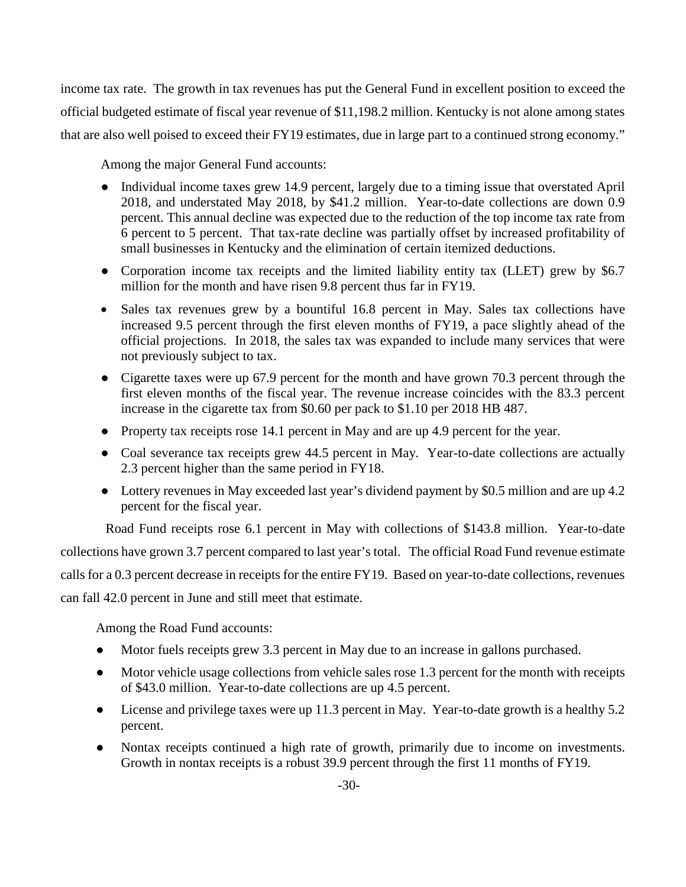income tax rate. The growth in tax revenues has put the General Fund in excellent position to exceed the official budgeted estimate of fiscal year revenue of \$11,198.2 million. Kentucky is not alone among states that are also well poised to exceed their FY19 estimates, due in large part to a continued strong economy."

Among the major General Fund accounts:

- Individual income taxes grew 14.9 percent, largely due to a timing issue that overstated April 2018, and understated May 2018, by \$41.2 million. Year-to-date collections are down 0.9 percent. This annual decline was expected due to the reduction of the top income tax rate from 6 percent to 5 percent. That tax-rate decline was partially offset by increased profitability of small businesses in Kentucky and the elimination of certain itemized deductions.
- Corporation income tax receipts and the limited liability entity tax (LLET) grew by \$6.7 million for the month and have risen 9.8 percent thus far in FY19.
- Sales tax revenues grew by a bountiful 16.8 percent in May. Sales tax collections have increased 9.5 percent through the first eleven months of FY19, a pace slightly ahead of the official projections. In 2018, the sales tax was expanded to include many services that were not previously subject to tax.
- Cigarette taxes were up 67.9 percent for the month and have grown 70.3 percent through the first eleven months of the fiscal year. The revenue increase coincides with the 83.3 percent increase in the cigarette tax from \$0.60 per pack to \$1.10 per 2018 HB 487.
- Property tax receipts rose 14.1 percent in May and are up 4.9 percent for the year.
- Coal severance tax receipts grew 44.5 percent in May. Year-to-date collections are actually 2.3 percent higher than the same period in FY18.
- Lottery revenues in May exceeded last year's dividend payment by \$0.5 million and are up 4.2 percent for the fiscal year.

Road Fund receipts rose 6.1 percent in May with collections of \$143.8 million. Year-to-date collections have grown 3.7 percent compared to last year's total. The official Road Fund revenue estimate calls for a 0.3 percent decrease in receipts for the entire FY19. Based on year-to-date collections, revenues can fall 42.0 percent in June and still meet that estimate.

Among the Road Fund accounts:

- Motor fuels receipts grew 3.3 percent in May due to an increase in gallons purchased.
- Motor vehicle usage collections from vehicle sales rose 1.3 percent for the month with receipts of \$43.0 million. Year-to-date collections are up 4.5 percent.
- License and privilege taxes were up 11.3 percent in May. Year-to-date growth is a healthy 5.2 percent.
- Nontax receipts continued a high rate of growth, primarily due to income on investments. Growth in nontax receipts is a robust 39.9 percent through the first 11 months of FY19.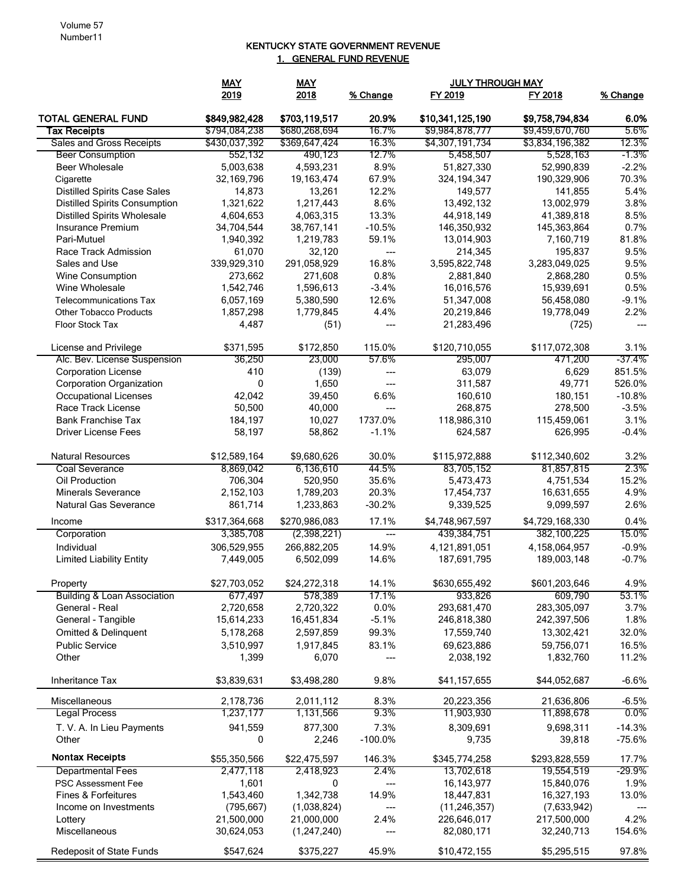## KENTUCKY STATE GOVERNMENT REVENUE 1. GENERAL FUND REVENUE

|                                        | <b>MAY</b>            | <b>MAY</b>            |              | <b>JULY THROUGH MAY</b>  |                          |               |
|----------------------------------------|-----------------------|-----------------------|--------------|--------------------------|--------------------------|---------------|
|                                        | 2019                  | 2018                  | % Change     | FY 2019                  | FY 2018                  | % Change      |
| <b>TOTAL GENERAL FUND</b>              | \$849,982,428         | \$703,119,517         | 20.9%        | \$10,341,125,190         | \$9,758,794,834          | 6.0%          |
| <b>Tax Receipts</b>                    | \$794,084,238         | \$680,268,694         | 16.7%        | \$9,984,878,777          | \$9,459,670,760          | 5.6%          |
| <b>Sales and Gross Receipts</b>        | \$430,037,392         | \$369,647,424         | 16.3%        | \$4,307,191,734          | \$3,834,196,382          | 12.3%         |
| <b>Beer Consumption</b>                | 552,132               | 490,123               | 12.7%        | 5,458,507                | 5,528,163                | $-1.3\%$      |
| Beer Wholesale                         | 5,003,638             | 4,593,231             | 8.9%         | 51,827,330               | 52,990,839               | $-2.2%$       |
| Cigarette                              | 32,169,796            | 19,163,474            | 67.9%        | 324, 194, 347            | 190,329,906              | 70.3%         |
| <b>Distilled Spirits Case Sales</b>    | 14,873                | 13,261                | 12.2%        | 149,577                  | 141,855                  | 5.4%          |
| <b>Distilled Spirits Consumption</b>   | 1,321,622             | 1,217,443             | 8.6%         | 13,492,132               | 13,002,979               | 3.8%          |
| <b>Distilled Spirits Wholesale</b>     | 4,604,653             | 4,063,315             | 13.3%        | 44,918,149               | 41,389,818               | 8.5%          |
| Insurance Premium                      | 34,704,544            | 38,767,141            | $-10.5%$     | 146,350,932              | 145,363,864              | 0.7%          |
| Pari-Mutuel<br>Race Track Admission    | 1,940,392             | 1,219,783             | 59.1%        | 13,014,903               | 7,160,719                | 81.8%<br>9.5% |
| Sales and Use                          | 61,070<br>339,929,310 | 32,120<br>291,058,929 | ---<br>16.8% | 214,345<br>3,595,822,748 | 195,837<br>3,283,049,025 | 9.5%          |
| Wine Consumption                       | 273,662               | 271,608               | 0.8%         | 2,881,840                | 2,868,280                | 0.5%          |
| Wine Wholesale                         | 1,542,746             | 1,596,613             | $-3.4%$      | 16,016,576               | 15,939,691               | 0.5%          |
| <b>Telecommunications Tax</b>          | 6,057,169             | 5,380,590             | 12.6%        | 51,347,008               | 56,458,080               | $-9.1%$       |
| <b>Other Tobacco Products</b>          | 1,857,298             | 1,779,845             | 4.4%         | 20,219,846               | 19,778,049               | 2.2%          |
| Floor Stock Tax                        | 4,487                 | (51)                  | $---$        | 21,283,496               | (725)                    | ---           |
|                                        |                       |                       |              |                          |                          |               |
| License and Privilege                  | \$371,595             | \$172,850             | 115.0%       | \$120,710,055            | \$117,072,308            | 3.1%          |
| Alc. Bev. License Suspension           | 36,250                | 23,000                | 57.6%        | 295,007                  | 471,200                  | -37.4%        |
| <b>Corporation License</b>             | 410                   | (139)                 | ---          | 63,079                   | 6,629                    | 851.5%        |
| <b>Corporation Organization</b>        | 0                     | 1,650                 | $---$        | 311,587                  | 49,771                   | 526.0%        |
| <b>Occupational Licenses</b>           | 42,042                | 39,450                | 6.6%         | 160,610                  | 180,151                  | $-10.8%$      |
| Race Track License                     | 50,500                | 40,000                | $---$        | 268,875                  | 278,500                  | $-3.5%$       |
| <b>Bank Franchise Tax</b>              | 184,197               | 10,027                | 1737.0%      | 118,986,310              | 115,459,061              | 3.1%          |
| <b>Driver License Fees</b>             | 58,197                | 58,862                | $-1.1%$      | 624,587                  | 626,995                  | $-0.4%$       |
| <b>Natural Resources</b>               | \$12,589,164          | \$9,680,626           | 30.0%        | \$115,972,888            | \$112,340,602            | 3.2%          |
| <b>Coal Severance</b>                  | 8,869,042             | 6,136,610             | 44.5%        | 83,705,152               | 81,857,815               | 2.3%          |
| Oil Production                         | 706,304               | 520,950               | 35.6%        | 5,473,473                | 4,751,534                | 15.2%         |
| <b>Minerals Severance</b>              | 2,152,103             | 1,789,203             | 20.3%        | 17,454,737               | 16,631,655               | 4.9%          |
| Natural Gas Severance                  | 861,714               | 1,233,863             | $-30.2%$     | 9,339,525                | 9,099,597                | 2.6%          |
| Income                                 | \$317,364,668         | \$270,986,083         | 17.1%        | \$4,748,967,597          | \$4,729,168,330          | 0.4%          |
| Corporation                            | 3,385,708             | (2,398,221)           | ---          | 439,384,751              | 382,100,225              | 15.0%         |
| Individual                             | 306,529,955           | 266,882,205           | 14.9%        | 4,121,891,051            | 4,158,064,957            | $-0.9%$       |
| <b>Limited Liability Entity</b>        | 7,449,005             | 6,502,099             | 14.6%        | 187,691,795              | 189,003,148              | $-0.7%$       |
| Property                               | \$27,703,052          | \$24,272,318          | 14.1%        | \$630,655,492            | \$601,203,646            | 4.9%          |
| <b>Building &amp; Loan Association</b> | 677,497               | 578,389               | 17.1%        | 933,826                  | 609,790                  | 53.1%         |
| General - Real                         | 2,720,658             | 2,720,322             | 0.0%         | 293,681,470              | 283,305,097              | 3.7%          |
| General - Tangible                     | 15,614,233            | 16,451,834            | $-5.1%$      | 246,818,380              | 242,397,506              | 1.8%          |
| <b>Omitted &amp; Delinquent</b>        | 5,178,268             | 2,597,859             | 99.3%        | 17,559,740               | 13,302,421               | 32.0%         |
| <b>Public Service</b>                  | 3.510.997             | 1,917,845             | 83.1%        | 69,623,886               | 59,756,071               | 16.5%         |
| Other                                  | 1,399                 | 6,070                 | ---          | 2,038,192                | 1,832,760                | 11.2%         |
| Inheritance Tax                        | \$3,839,631           | \$3,498,280           | 9.8%         | \$41,157,655             | \$44,052,687             | $-6.6%$       |
| Miscellaneous                          | 2,178,736             | 2,011,112             | 8.3%         | 20,223,356               | 21,636,806               | $-6.5%$       |
| <b>Legal Process</b>                   | 1,237,177             | 1,131,566             | 9.3%         | 11,903,930               | 11,898,678               | $0.0\%$       |
| T. V. A. In Lieu Payments              | 941,559               | 877,300               | 7.3%         | 8,309,691                | 9,698,311                | $-14.3%$      |
| Other                                  | 0                     | 2,246                 | $-100.0%$    | 9,735                    | 39,818                   | $-75.6%$      |
| <b>Nontax Receipts</b>                 | \$55,350,566          | \$22,475,597          | 146.3%       | \$345,774,258            | \$293,828,559            | 17.7%         |
| <b>Departmental Fees</b>               | 2,477,118             | 2,418,923             | 2.4%         | 13,702,618               | 19,554,519               | -29.9%        |
| <b>PSC Assessment Fee</b>              | 1,601                 | 0                     | ---          | 16, 143, 977             | 15,840,076               | 1.9%          |
| Fines & Forfeitures                    | 1,543,460             | 1,342,738             | 14.9%        | 18,447,831               | 16,327,193               | 13.0%         |
| Income on Investments                  | (795, 667)            | (1,038,824)           | ---          | (11, 246, 357)           | (7,633,942)              |               |
| Lottery                                | 21,500,000            | 21,000,000            | 2.4%         | 226,646,017              | 217,500,000              | 4.2%          |
| Miscellaneous                          | 30,624,053            | (1,247,240)           | ---          | 82,080,171               | 32,240,713               | 154.6%        |
|                                        |                       |                       |              |                          |                          |               |
| Redeposit of State Funds               | \$547,624             | \$375,227             | 45.9%        | \$10,472,155             | \$5,295,515              | 97.8%         |